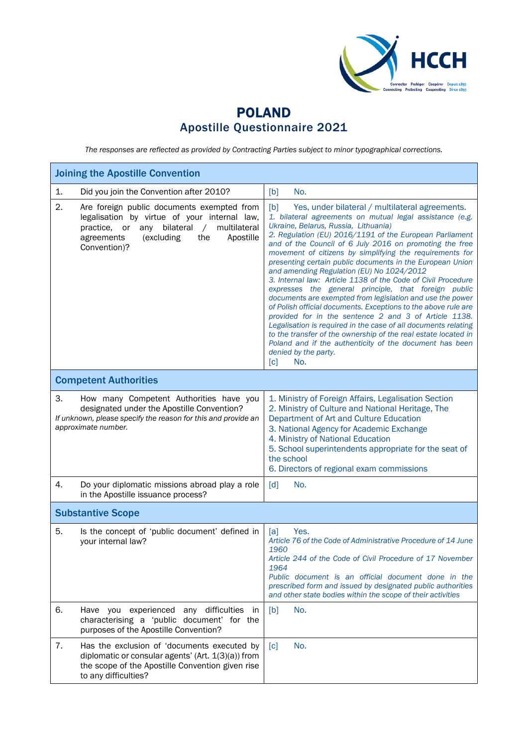

## POLAND Apostille Questionnaire 2021

*The responses are reflected as provided by Contracting Parties subject to minor typographical corrections.*

| <b>Joining the Apostille Convention</b>                                                                                                                                                                                               |                                                                                                                                                                                                                                                                                                                                                                                                                                                                                                                                                                                                                                                                                                                                                                                                                                                                                                                                                                                                             |  |  |  |
|---------------------------------------------------------------------------------------------------------------------------------------------------------------------------------------------------------------------------------------|-------------------------------------------------------------------------------------------------------------------------------------------------------------------------------------------------------------------------------------------------------------------------------------------------------------------------------------------------------------------------------------------------------------------------------------------------------------------------------------------------------------------------------------------------------------------------------------------------------------------------------------------------------------------------------------------------------------------------------------------------------------------------------------------------------------------------------------------------------------------------------------------------------------------------------------------------------------------------------------------------------------|--|--|--|
| 1.<br>Did you join the Convention after 2010?                                                                                                                                                                                         | [b]<br>No.                                                                                                                                                                                                                                                                                                                                                                                                                                                                                                                                                                                                                                                                                                                                                                                                                                                                                                                                                                                                  |  |  |  |
| 2.<br>Are foreign public documents exempted from<br>legalisation by virtue of your internal law,<br>bilateral<br>multilateral<br>practice,<br>or<br>any<br>$\sqrt{2}$<br>agreements<br>(excluding<br>the<br>Apostille<br>Convention)? | [b]<br>Yes, under bilateral / multilateral agreements.<br>1. bilateral agreements on mutual legal assistance (e.g.<br>Ukraine, Belarus, Russia, Lithuania)<br>2. Regulation (EU) 2016/1191 of the European Parliament<br>and of the Council of 6 July 2016 on promoting the free<br>movement of citizens by simplifying the requirements for<br>presenting certain public documents in the European Union<br>and amending Regulation (EU) No 1024/2012<br>3. Internal law: Article 1138 of the Code of Civil Procedure<br>expresses the general principle, that foreign public<br>documents are exempted from legislation and use the power<br>of Polish official documents. Exceptions to the above rule are<br>provided for in the sentence 2 and 3 of Article 1138.<br>Legalisation is required in the case of all documents relating<br>to the transfer of the ownership of the real estate located in<br>Poland and if the authenticity of the document has been<br>denied by the party.<br>[c]<br>No. |  |  |  |
| <b>Competent Authorities</b>                                                                                                                                                                                                          |                                                                                                                                                                                                                                                                                                                                                                                                                                                                                                                                                                                                                                                                                                                                                                                                                                                                                                                                                                                                             |  |  |  |
| 3.<br>How many Competent Authorities have you<br>designated under the Apostille Convention?<br>If unknown, please specify the reason for this and provide an<br>approximate number.                                                   | 1. Ministry of Foreign Affairs, Legalisation Section<br>2. Ministry of Culture and National Heritage, The<br>Department of Art and Culture Education<br>3. National Agency for Academic Exchange<br>4. Ministry of National Education<br>5. School superintendents appropriate for the seat of<br>the school<br>6. Directors of regional exam commissions                                                                                                                                                                                                                                                                                                                                                                                                                                                                                                                                                                                                                                                   |  |  |  |
| 4.<br>Do your diplomatic missions abroad play a role<br>in the Apostille issuance process?                                                                                                                                            | [d]<br>No.                                                                                                                                                                                                                                                                                                                                                                                                                                                                                                                                                                                                                                                                                                                                                                                                                                                                                                                                                                                                  |  |  |  |
| <b>Substantive Scope</b>                                                                                                                                                                                                              |                                                                                                                                                                                                                                                                                                                                                                                                                                                                                                                                                                                                                                                                                                                                                                                                                                                                                                                                                                                                             |  |  |  |
| 5.<br>Is the concept of 'public document' defined in<br>your internal law?                                                                                                                                                            | Yes.<br>[a]<br>Article 76 of the Code of Administrative Procedure of 14 June<br>1960<br>Article 244 of the Code of Civil Procedure of 17 November<br>1964<br>Public document is an official document done in the<br>prescribed form and issued by designated public authorities<br>and other state bodies within the scope of their activities                                                                                                                                                                                                                                                                                                                                                                                                                                                                                                                                                                                                                                                              |  |  |  |
| 6.<br>Have you experienced any difficulties in<br>characterising a 'public document' for the<br>purposes of the Apostille Convention?                                                                                                 | No.<br>[b]                                                                                                                                                                                                                                                                                                                                                                                                                                                                                                                                                                                                                                                                                                                                                                                                                                                                                                                                                                                                  |  |  |  |
| 7.<br>Has the exclusion of 'documents executed by<br>diplomatic or consular agents' (Art. 1(3)(a)) from<br>the scope of the Apostille Convention given rise<br>to any difficulties?                                                   | No.<br>$\lceil c \rceil$                                                                                                                                                                                                                                                                                                                                                                                                                                                                                                                                                                                                                                                                                                                                                                                                                                                                                                                                                                                    |  |  |  |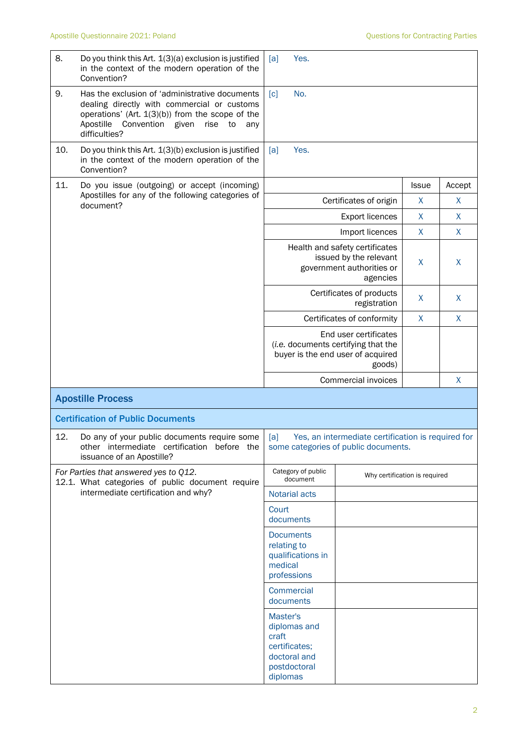| 8.  | Do you think this Art. 1(3)(a) exclusion is justified<br>in the context of the modern operation of the<br>Convention?                                                                                                       | Yes.<br>[a]                                                                        |                                                                                                             |              |                    |
|-----|-----------------------------------------------------------------------------------------------------------------------------------------------------------------------------------------------------------------------------|------------------------------------------------------------------------------------|-------------------------------------------------------------------------------------------------------------|--------------|--------------------|
| 9.  | Has the exclusion of 'administrative documents<br>dealing directly with commercial or customs<br>operations' (Art. $1(3)(b)$ ) from the scope of the<br>Apostille<br>Convention given<br>rise<br>to<br>any<br>difficulties? | No.<br>$\lceil c \rceil$                                                           |                                                                                                             |              |                    |
| 10. | Do you think this Art. 1(3)(b) exclusion is justified<br>in the context of the modern operation of the<br>Convention?                                                                                                       | Yes.<br>[a]                                                                        |                                                                                                             |              |                    |
| 11. | Do you issue (outgoing) or accept (incoming)                                                                                                                                                                                |                                                                                    |                                                                                                             | <b>Issue</b> | Accept             |
|     | Apostilles for any of the following categories of<br>document?                                                                                                                                                              |                                                                                    | Certificates of origin                                                                                      | X            | X                  |
|     |                                                                                                                                                                                                                             |                                                                                    | <b>Export licences</b>                                                                                      | X            | X                  |
|     |                                                                                                                                                                                                                             |                                                                                    | Import licences                                                                                             | X            | X                  |
|     |                                                                                                                                                                                                                             |                                                                                    | Health and safety certificates<br>issued by the relevant<br>government authorities or<br>agencies           | X            | X                  |
|     |                                                                                                                                                                                                                             |                                                                                    | Certificates of products<br>registration                                                                    | X            | X                  |
|     |                                                                                                                                                                                                                             |                                                                                    | Certificates of conformity                                                                                  | $\pmb{\chi}$ | $\mathsf{X}% _{0}$ |
|     |                                                                                                                                                                                                                             |                                                                                    | End user certificates<br>(i.e. documents certifying that the<br>buyer is the end user of acquired<br>goods) |              |                    |
|     |                                                                                                                                                                                                                             |                                                                                    | Commercial invoices                                                                                         |              | $\mathsf{X}% _{0}$ |
|     | <b>Apostille Process</b>                                                                                                                                                                                                    |                                                                                    |                                                                                                             |              |                    |
|     | <b>Certification of Public Documents</b>                                                                                                                                                                                    |                                                                                    |                                                                                                             |              |                    |
| 12. | Do any of your public documents require some<br>other intermediate certification before the<br>issuance of an Apostille?                                                                                                    | [a]<br>some categories of public documents.                                        | Yes, an intermediate certification is required for                                                          |              |                    |
|     | For Parties that answered yes to Q12.<br>12.1. What categories of public document require                                                                                                                                   | Category of public<br>Why certification is required<br>document                    |                                                                                                             |              |                    |
|     | intermediate certification and why?                                                                                                                                                                                         | Notarial acts                                                                      |                                                                                                             |              |                    |
|     |                                                                                                                                                                                                                             | Court<br>documents                                                                 |                                                                                                             |              |                    |
|     |                                                                                                                                                                                                                             | <b>Documents</b><br>relating to<br>qualifications in<br>medical<br>professions     |                                                                                                             |              |                    |
|     |                                                                                                                                                                                                                             | <b>Commercial</b><br>documents                                                     |                                                                                                             |              |                    |
|     |                                                                                                                                                                                                                             | Master's<br>diplomas and<br>craft<br>certificates;<br>doctoral and<br>postdoctoral |                                                                                                             |              |                    |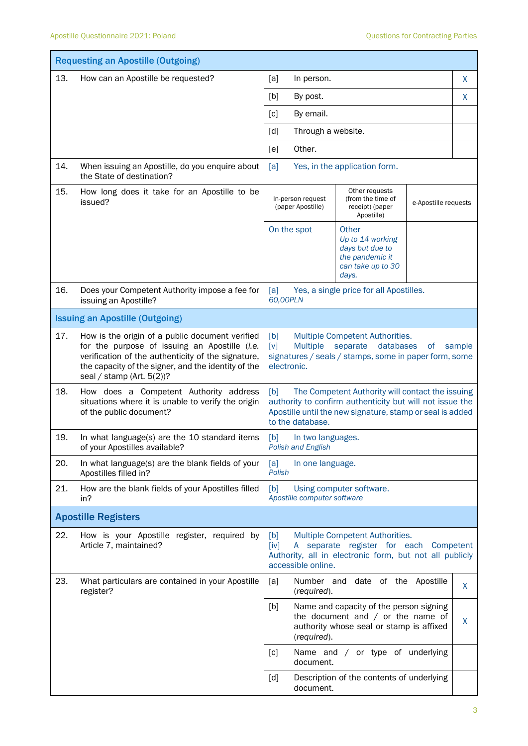|     | <b>Requesting an Apostille (Outgoing)</b>                                                                                                                                                                                                     |                                                                                                                                                                                                      |                                                                                                                                      |           |                      |  |
|-----|-----------------------------------------------------------------------------------------------------------------------------------------------------------------------------------------------------------------------------------------------|------------------------------------------------------------------------------------------------------------------------------------------------------------------------------------------------------|--------------------------------------------------------------------------------------------------------------------------------------|-----------|----------------------|--|
| 13. | How can an Apostille be requested?                                                                                                                                                                                                            | [a]<br>In person.                                                                                                                                                                                    |                                                                                                                                      |           | X                    |  |
|     |                                                                                                                                                                                                                                               | [b]<br>By post.                                                                                                                                                                                      |                                                                                                                                      |           | X                    |  |
|     |                                                                                                                                                                                                                                               | [c]<br>By email.                                                                                                                                                                                     |                                                                                                                                      |           |                      |  |
|     |                                                                                                                                                                                                                                               | Through a website.<br>[d]                                                                                                                                                                            |                                                                                                                                      |           |                      |  |
|     |                                                                                                                                                                                                                                               | Other.<br>[e]                                                                                                                                                                                        |                                                                                                                                      |           |                      |  |
| 14. | When issuing an Apostille, do you enquire about<br>the State of destination?                                                                                                                                                                  | [a]                                                                                                                                                                                                  | Yes, in the application form.                                                                                                        |           |                      |  |
| 15. | How long does it take for an Apostille to be<br>issued?                                                                                                                                                                                       | Other requests<br>In-person request<br>(from the time of<br>(paper Apostille)<br>receipt) (paper<br>Apostille)                                                                                       |                                                                                                                                      |           | e-Apostille requests |  |
|     |                                                                                                                                                                                                                                               | On the spot                                                                                                                                                                                          | Other<br>Up to 14 working<br>days but due to<br>the pandemic it<br>can take up to 30<br>days.                                        |           |                      |  |
| 16. | Does your Competent Authority impose a fee for<br>issuing an Apostille?                                                                                                                                                                       | [a]<br>60,00PLN                                                                                                                                                                                      | Yes, a single price for all Apostilles.                                                                                              |           |                      |  |
|     | <b>Issuing an Apostille (Outgoing)</b>                                                                                                                                                                                                        |                                                                                                                                                                                                      |                                                                                                                                      |           |                      |  |
| 17. | How is the origin of a public document verified<br>for the purpose of issuing an Apostille (i.e.<br>verification of the authenticity of the signature,<br>the capacity of the signer, and the identity of the<br>seal / stamp (Art. $5(2)$ )? | [b]<br><b>Multiple</b><br>$\lceil v \rceil$<br>electronic.                                                                                                                                           | Multiple Competent Authorities.<br>databases<br>separate<br>signatures / seals / stamps, some in paper form, some                    | <b>of</b> | sample               |  |
| 18. | How does a Competent Authority address<br>situations where it is unable to verify the origin<br>of the public document?                                                                                                                       | The Competent Authority will contact the issuing<br>[b]<br>authority to confirm authenticity but will not issue the<br>Apostille until the new signature, stamp or seal is added<br>to the database. |                                                                                                                                      |           |                      |  |
| 19. | In what language(s) are the 10 standard items<br>of your Apostilles available?                                                                                                                                                                | [b]<br>In two languages.<br>Polish and English                                                                                                                                                       |                                                                                                                                      |           |                      |  |
| 20. | In what language(s) are the blank fields of your<br>Apostilles filled in?                                                                                                                                                                     | [a]<br>In one language.<br>Polish                                                                                                                                                                    |                                                                                                                                      |           |                      |  |
| 21. | How are the blank fields of your Apostilles filled<br>in?                                                                                                                                                                                     | [b]<br>Apostille computer software                                                                                                                                                                   | Using computer software.                                                                                                             |           |                      |  |
|     | <b>Apostille Registers</b>                                                                                                                                                                                                                    |                                                                                                                                                                                                      |                                                                                                                                      |           |                      |  |
| 22. | How is your Apostille register, required by<br>Article 7, maintained?                                                                                                                                                                         | [b]<br>[iv]<br>accessible online.                                                                                                                                                                    | Multiple Competent Authorities.<br>A separate register for each Competent<br>Authority, all in electronic form, but not all publicly |           |                      |  |
| 23. | What particulars are contained in your Apostille<br>register?                                                                                                                                                                                 | [a]<br>(required).                                                                                                                                                                                   | Number and date of the Apostille                                                                                                     |           | X                    |  |
|     |                                                                                                                                                                                                                                               | [b]<br>(required).                                                                                                                                                                                   | Name and capacity of the person signing<br>the document and $/$ or the name of<br>authority whose seal or stamp is affixed           |           | X                    |  |
|     |                                                                                                                                                                                                                                               | [c]<br>document.                                                                                                                                                                                     | Name and / or type of underlying                                                                                                     |           |                      |  |
|     |                                                                                                                                                                                                                                               | [d]<br>document.                                                                                                                                                                                     | Description of the contents of underlying                                                                                            |           |                      |  |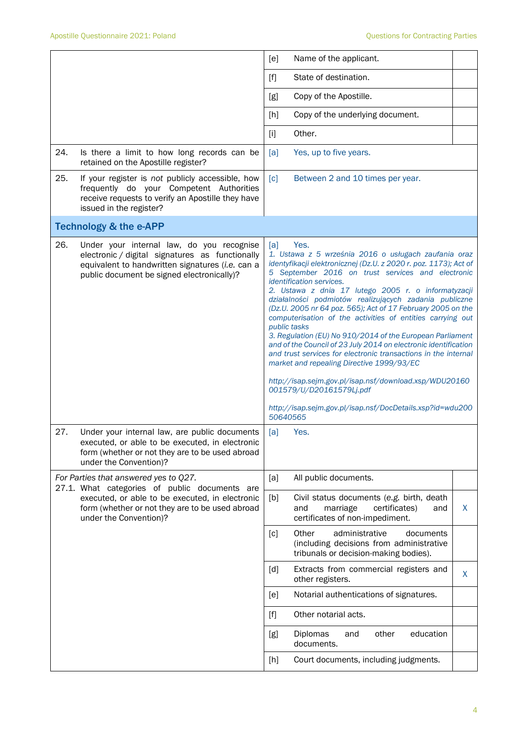|     |                                                                                                                                                                                                | [e]                             | Name of the applicant.                                                                                                                                                                                                                                                                                                                                                                                                                                                                                                                                                                                                                                                                                                                                                                                                                                                   |   |
|-----|------------------------------------------------------------------------------------------------------------------------------------------------------------------------------------------------|---------------------------------|--------------------------------------------------------------------------------------------------------------------------------------------------------------------------------------------------------------------------------------------------------------------------------------------------------------------------------------------------------------------------------------------------------------------------------------------------------------------------------------------------------------------------------------------------------------------------------------------------------------------------------------------------------------------------------------------------------------------------------------------------------------------------------------------------------------------------------------------------------------------------|---|
|     |                                                                                                                                                                                                |                                 |                                                                                                                                                                                                                                                                                                                                                                                                                                                                                                                                                                                                                                                                                                                                                                                                                                                                          |   |
|     |                                                                                                                                                                                                | $[f]$                           | State of destination.                                                                                                                                                                                                                                                                                                                                                                                                                                                                                                                                                                                                                                                                                                                                                                                                                                                    |   |
|     |                                                                                                                                                                                                | [g]                             | Copy of the Apostille.                                                                                                                                                                                                                                                                                                                                                                                                                                                                                                                                                                                                                                                                                                                                                                                                                                                   |   |
|     |                                                                                                                                                                                                | [h]                             | Copy of the underlying document.                                                                                                                                                                                                                                                                                                                                                                                                                                                                                                                                                                                                                                                                                                                                                                                                                                         |   |
|     |                                                                                                                                                                                                | $[1]$                           | Other.                                                                                                                                                                                                                                                                                                                                                                                                                                                                                                                                                                                                                                                                                                                                                                                                                                                                   |   |
| 24. | Is there a limit to how long records can be<br>retained on the Apostille register?                                                                                                             | [a]                             | Yes, up to five years.                                                                                                                                                                                                                                                                                                                                                                                                                                                                                                                                                                                                                                                                                                                                                                                                                                                   |   |
| 25. | If your register is not publicly accessible, how<br>frequently do your Competent Authorities<br>receive requests to verify an Apostille they have<br>issued in the register?                   | $\lceil c \rceil$               | Between 2 and 10 times per year.                                                                                                                                                                                                                                                                                                                                                                                                                                                                                                                                                                                                                                                                                                                                                                                                                                         |   |
|     | <b>Technology &amp; the e-APP</b>                                                                                                                                                              |                                 |                                                                                                                                                                                                                                                                                                                                                                                                                                                                                                                                                                                                                                                                                                                                                                                                                                                                          |   |
| 26. | Under your internal law, do you recognise<br>electronic / digital signatures as functionally<br>equivalent to handwritten signatures (i.e. can a<br>public document be signed electronically)? | [a]<br>public tasks<br>50640565 | Yes.<br>1. Ustawa z 5 września 2016 o usługach zaufania oraz<br>identyfikacji elektronicznej (Dz.U. z 2020 r. poz. 1173); Act of<br>5 September 2016 on trust services and electronic<br><i>identification services.</i><br>2. Ustawa z dnia 17 lutego 2005 r. o informatyzacji<br>działalności podmiotów realizujących zadania publiczne<br>(Dz.U. 2005 nr 64 poz. 565); Act of 17 February 2005 on the<br>computerisation of the activities of entities carrying out<br>3. Regulation (EU) No 910/2014 of the European Parliament<br>and of the Council of 23 July 2014 on electronic identification<br>and trust services for electronic transactions in the internal<br>market and repealing Directive 1999/93/EC<br>http://isap.sejm.gov.pl/isap.nsf/download.xsp/WDU20160<br>001579/U/D20161579Lj.pdf<br>http://isap.sejm.gov.pl/isap.nsf/DocDetails.xsp?id=wdu200 |   |
| 27. | Under your internal law, are public documents<br>executed, or able to be executed, in electronic<br>form (whether or not they are to be used abroad<br>under the Convention)?                  | [a]                             | Yes.                                                                                                                                                                                                                                                                                                                                                                                                                                                                                                                                                                                                                                                                                                                                                                                                                                                                     |   |
|     | For Parties that answered yes to Q27.                                                                                                                                                          | [a]                             | All public documents.                                                                                                                                                                                                                                                                                                                                                                                                                                                                                                                                                                                                                                                                                                                                                                                                                                                    |   |
|     | 27.1. What categories of public documents are<br>executed, or able to be executed, in electronic<br>form (whether or not they are to be used abroad<br>under the Convention)?                  | [b]                             | Civil status documents (e.g. birth, death<br>and<br>marriage<br>certificates)<br>and<br>certificates of non-impediment.                                                                                                                                                                                                                                                                                                                                                                                                                                                                                                                                                                                                                                                                                                                                                  | X |
|     |                                                                                                                                                                                                | [c]                             | Other<br>administrative<br>documents<br>(including decisions from administrative<br>tribunals or decision-making bodies).                                                                                                                                                                                                                                                                                                                                                                                                                                                                                                                                                                                                                                                                                                                                                |   |
|     |                                                                                                                                                                                                | [d]                             | Extracts from commercial registers and<br>other registers.                                                                                                                                                                                                                                                                                                                                                                                                                                                                                                                                                                                                                                                                                                                                                                                                               | X |
|     |                                                                                                                                                                                                | [e]                             | Notarial authentications of signatures.                                                                                                                                                                                                                                                                                                                                                                                                                                                                                                                                                                                                                                                                                                                                                                                                                                  |   |
|     |                                                                                                                                                                                                | $[f]$                           | Other notarial acts.                                                                                                                                                                                                                                                                                                                                                                                                                                                                                                                                                                                                                                                                                                                                                                                                                                                     |   |
|     |                                                                                                                                                                                                | [g]                             | education<br>Diplomas<br>other<br>and<br>documents.                                                                                                                                                                                                                                                                                                                                                                                                                                                                                                                                                                                                                                                                                                                                                                                                                      |   |
|     |                                                                                                                                                                                                | [h]                             | Court documents, including judgments.                                                                                                                                                                                                                                                                                                                                                                                                                                                                                                                                                                                                                                                                                                                                                                                                                                    |   |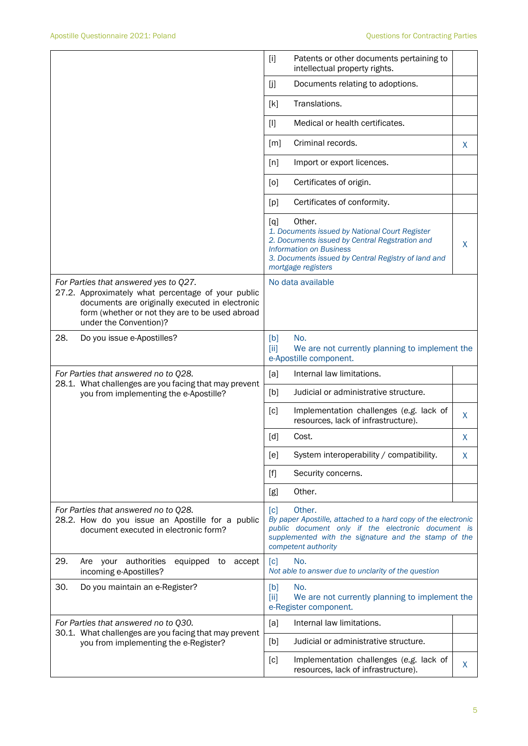|                                                                                                                                                                                                                             | Patents or other documents pertaining to<br>$[1]$<br>intellectual property rights.                                                                                                                                                    |  |
|-----------------------------------------------------------------------------------------------------------------------------------------------------------------------------------------------------------------------------|---------------------------------------------------------------------------------------------------------------------------------------------------------------------------------------------------------------------------------------|--|
|                                                                                                                                                                                                                             | [j]<br>Documents relating to adoptions.                                                                                                                                                                                               |  |
|                                                                                                                                                                                                                             | Translations.<br>[k]                                                                                                                                                                                                                  |  |
|                                                                                                                                                                                                                             | Medical or health certificates.<br>$[1]$                                                                                                                                                                                              |  |
|                                                                                                                                                                                                                             | Criminal records.<br>[m]<br>X.                                                                                                                                                                                                        |  |
|                                                                                                                                                                                                                             | Import or export licences.<br>[n]                                                                                                                                                                                                     |  |
|                                                                                                                                                                                                                             | Certificates of origin.<br>[0]                                                                                                                                                                                                        |  |
|                                                                                                                                                                                                                             | Certificates of conformity.<br>[p]                                                                                                                                                                                                    |  |
|                                                                                                                                                                                                                             | Other.<br>[q]<br>1. Documents issued by National Court Register<br>2. Documents issued by Central Regstration and<br>X<br><b>Information on Business</b><br>3. Documents issued by Central Registry of land and<br>mortgage registers |  |
| For Parties that answered yes to Q27.<br>27.2. Approximately what percentage of your public<br>documents are originally executed in electronic<br>form (whether or not they are to be used abroad<br>under the Convention)? | No data available                                                                                                                                                                                                                     |  |
| 28.<br>Do you issue e-Apostilles?                                                                                                                                                                                           | No.<br>[b]<br>We are not currently planning to implement the<br>[ii]<br>e-Apostille component.                                                                                                                                        |  |
| For Parties that answered no to Q28.                                                                                                                                                                                        | Internal law limitations.<br>[a]                                                                                                                                                                                                      |  |
| 28.1. What challenges are you facing that may prevent<br>you from implementing the e-Apostille?                                                                                                                             | Judicial or administrative structure.<br>[b]                                                                                                                                                                                          |  |
|                                                                                                                                                                                                                             | Implementation challenges (e.g. lack of<br>[c]<br>X<br>resources, lack of infrastructure).                                                                                                                                            |  |
|                                                                                                                                                                                                                             | [d]<br>Cost.<br>X                                                                                                                                                                                                                     |  |
|                                                                                                                                                                                                                             | System interoperability / compatibility.<br>[ <sub>e</sub> ]<br>X                                                                                                                                                                     |  |
|                                                                                                                                                                                                                             | Security concerns.<br>$[f]$                                                                                                                                                                                                           |  |
|                                                                                                                                                                                                                             | Other.<br>[g]                                                                                                                                                                                                                         |  |
| For Parties that answered no to Q28.<br>28.2. How do you issue an Apostille for a public<br>document executed in electronic form?                                                                                           | Other.<br>$\lceil c \rceil$<br>By paper Apostille, attached to a hard copy of the electronic<br>public document only if the electronic document is<br>supplemented with the signature and the stamp of the<br>competent authority     |  |
| 29.<br>Are your authorities<br>equipped to accept<br>incoming e-Apostilles?                                                                                                                                                 | No.<br>[c]<br>Not able to answer due to unclarity of the question                                                                                                                                                                     |  |
| 30.<br>Do you maintain an e-Register?                                                                                                                                                                                       | No.<br>[b]<br>We are not currently planning to implement the<br>[ii]<br>e-Register component.                                                                                                                                         |  |
| For Parties that answered no to Q30.<br>30.1. What challenges are you facing that may prevent                                                                                                                               | Internal law limitations.<br>[a]                                                                                                                                                                                                      |  |
| you from implementing the e-Register?                                                                                                                                                                                       | Judicial or administrative structure.<br>[b]                                                                                                                                                                                          |  |
|                                                                                                                                                                                                                             | Implementation challenges (e.g. lack of<br>[c]<br>X<br>resources, lack of infrastructure).                                                                                                                                            |  |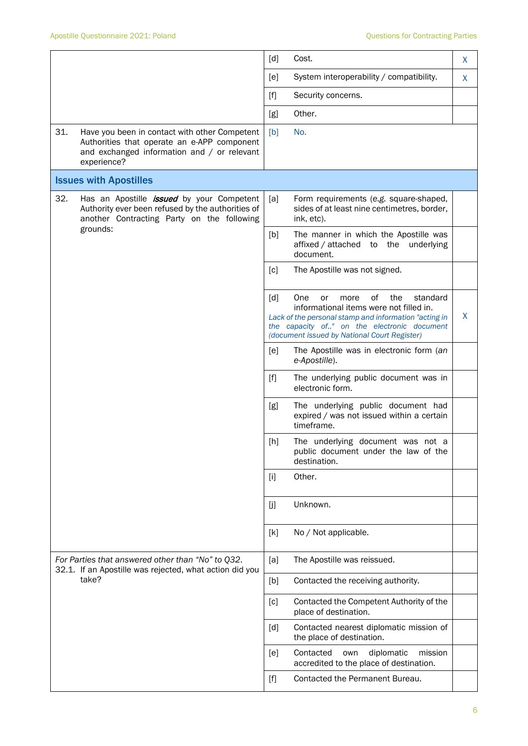|     |                                                                                                                                                                 | [d]               | Cost.                                                                                                                                                                                                                                         | X |
|-----|-----------------------------------------------------------------------------------------------------------------------------------------------------------------|-------------------|-----------------------------------------------------------------------------------------------------------------------------------------------------------------------------------------------------------------------------------------------|---|
|     |                                                                                                                                                                 | [e]               | System interoperability / compatibility.                                                                                                                                                                                                      | X |
|     |                                                                                                                                                                 | $[f]$             | Security concerns.                                                                                                                                                                                                                            |   |
|     |                                                                                                                                                                 | [g]               | Other.                                                                                                                                                                                                                                        |   |
| 31. | Have you been in contact with other Competent<br>Authorities that operate an e-APP component<br>and exchanged information and / or relevant<br>experience?      | [b]               | No.                                                                                                                                                                                                                                           |   |
|     | <b>Issues with Apostilles</b>                                                                                                                                   |                   |                                                                                                                                                                                                                                               |   |
| 32. | Has an Apostille <i>issued</i> by your Competent<br>Authority ever been refused by the authorities of<br>another Contracting Party on the following<br>grounds: | [a]               | Form requirements (e.g. square-shaped,<br>sides of at least nine centimetres, border,<br>ink, etc).                                                                                                                                           |   |
|     |                                                                                                                                                                 | [b]               | The manner in which the Apostille was<br>affixed / attached to the underlying<br>document.                                                                                                                                                    |   |
|     |                                                                                                                                                                 | $\lceil c \rceil$ | The Apostille was not signed.                                                                                                                                                                                                                 |   |
|     |                                                                                                                                                                 | $\lceil d \rceil$ | One<br>of<br>the<br>more<br>standard<br>or<br>informational items were not filled in.<br>Lack of the personal stamp and information "acting in<br>the capacity of" on the electronic document<br>(document issued by National Court Register) | X |
|     |                                                                                                                                                                 | [ <sub>e</sub> ]  | The Apostille was in electronic form (an<br>e-Apostille).                                                                                                                                                                                     |   |
|     |                                                                                                                                                                 | $[f]$             | The underlying public document was in<br>electronic form.                                                                                                                                                                                     |   |
|     |                                                                                                                                                                 | [g]               | The underlying public document had<br>expired / was not issued within a certain<br>timeframe.                                                                                                                                                 |   |
|     |                                                                                                                                                                 | [h]               | The underlying document was not a<br>public document under the law of the<br>destination.                                                                                                                                                     |   |
|     |                                                                                                                                                                 | $[1]$             | Other.                                                                                                                                                                                                                                        |   |
|     |                                                                                                                                                                 | [j]               | Unknown.                                                                                                                                                                                                                                      |   |
|     |                                                                                                                                                                 | [k]               | No / Not applicable.                                                                                                                                                                                                                          |   |
|     | For Parties that answered other than "No" to Q32.<br>32.1. If an Apostille was rejected, what action did you                                                    | [a]               | The Apostille was reissued.                                                                                                                                                                                                                   |   |
|     | take?                                                                                                                                                           | [b]               | Contacted the receiving authority.                                                                                                                                                                                                            |   |
|     |                                                                                                                                                                 | [c]               | Contacted the Competent Authority of the<br>place of destination.                                                                                                                                                                             |   |
|     |                                                                                                                                                                 | [d]               | Contacted nearest diplomatic mission of<br>the place of destination.                                                                                                                                                                          |   |
|     |                                                                                                                                                                 | [e]               | Contacted<br>diplomatic<br>own<br>mission<br>accredited to the place of destination.                                                                                                                                                          |   |
|     |                                                                                                                                                                 | $[f]$             | Contacted the Permanent Bureau.                                                                                                                                                                                                               |   |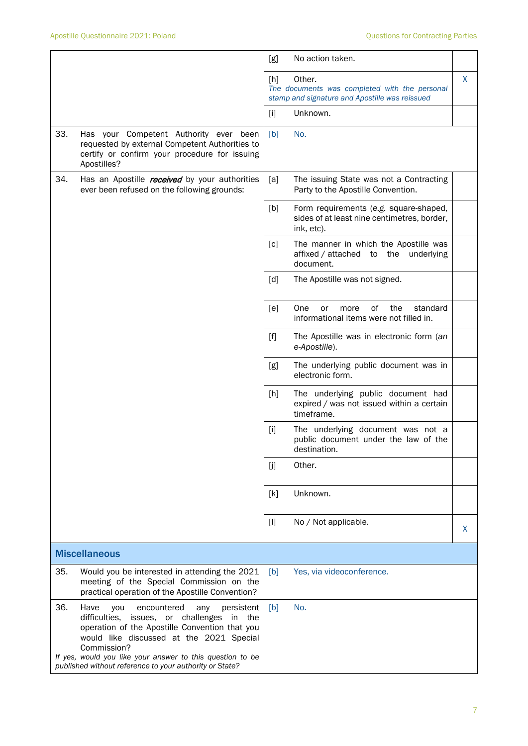|     |                                                                                                                                                                                                                                                                                                                                       | [g]   | No action taken.                                                                                          |    |
|-----|---------------------------------------------------------------------------------------------------------------------------------------------------------------------------------------------------------------------------------------------------------------------------------------------------------------------------------------|-------|-----------------------------------------------------------------------------------------------------------|----|
|     |                                                                                                                                                                                                                                                                                                                                       | [h]   | Other.<br>The documents was completed with the personal<br>stamp and signature and Apostille was reissued | X. |
|     |                                                                                                                                                                                                                                                                                                                                       | $[1]$ | Unknown.                                                                                                  |    |
| 33. | Has your Competent Authority ever been<br>requested by external Competent Authorities to<br>certify or confirm your procedure for issuing<br>Apostilles?                                                                                                                                                                              | [b]   | No.                                                                                                       |    |
| 34. | Has an Apostille <i>received</i> by your authorities<br>ever been refused on the following grounds:                                                                                                                                                                                                                                   | [a]   | The issuing State was not a Contracting<br>Party to the Apostille Convention.                             |    |
|     |                                                                                                                                                                                                                                                                                                                                       | [b]   | Form requirements (e.g. square-shaped,<br>sides of at least nine centimetres, border,<br>ink, etc).       |    |
|     |                                                                                                                                                                                                                                                                                                                                       | [c]   | The manner in which the Apostille was<br>affixed / attached to the<br>underlying<br>document.             |    |
|     |                                                                                                                                                                                                                                                                                                                                       | [d]   | The Apostille was not signed.                                                                             |    |
|     |                                                                                                                                                                                                                                                                                                                                       | [e]   | 0f<br>the<br>One<br>standard<br>or<br>more<br>informational items were not filled in.                     |    |
|     |                                                                                                                                                                                                                                                                                                                                       | $[f]$ | The Apostille was in electronic form (an<br>e-Apostille).                                                 |    |
|     |                                                                                                                                                                                                                                                                                                                                       | [g]   | The underlying public document was in<br>electronic form.                                                 |    |
|     |                                                                                                                                                                                                                                                                                                                                       | [h]   | The underlying public document had<br>expired / was not issued within a certain<br>timeframe.             |    |
|     |                                                                                                                                                                                                                                                                                                                                       | $[1]$ | The underlying document was not a<br>public document under the law of the<br>destination.                 |    |
|     |                                                                                                                                                                                                                                                                                                                                       | [j]   | Other.                                                                                                    |    |
|     |                                                                                                                                                                                                                                                                                                                                       | [k]   | Unknown.                                                                                                  |    |
|     |                                                                                                                                                                                                                                                                                                                                       | $[1]$ | No / Not applicable.                                                                                      | X  |
|     | <b>Miscellaneous</b>                                                                                                                                                                                                                                                                                                                  |       |                                                                                                           |    |
| 35. | Would you be interested in attending the 2021<br>meeting of the Special Commission on the<br>practical operation of the Apostille Convention?                                                                                                                                                                                         | [b]   | Yes, via videoconference.                                                                                 |    |
| 36. | Have<br>encountered<br>persistent<br>you<br>any<br>difficulties, issues, or challenges<br>in the<br>operation of the Apostille Convention that you<br>would like discussed at the 2021 Special<br>Commission?<br>If yes, would you like your answer to this question to be<br>published without reference to your authority or State? | [b]   | No.                                                                                                       |    |